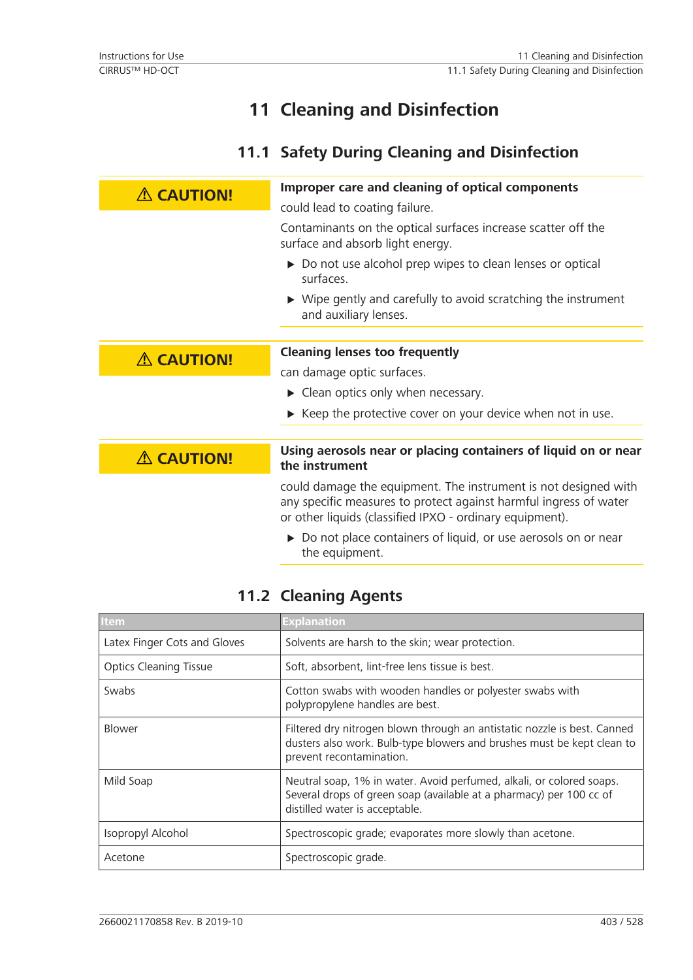# **11 Cleaning and Disinfection**

## **11.1 Safety During Cleaning and Disinfection**

| <b>A CAUTION!</b> | Improper care and cleaning of optical components                                                                                                                                                 |
|-------------------|--------------------------------------------------------------------------------------------------------------------------------------------------------------------------------------------------|
|                   | could lead to coating failure.                                                                                                                                                                   |
|                   | Contaminants on the optical surfaces increase scatter off the<br>surface and absorb light energy.                                                                                                |
|                   | ▶ Do not use alcohol prep wipes to clean lenses or optical<br>surfaces.                                                                                                                          |
|                   | $\triangleright$ Wipe gently and carefully to avoid scratching the instrument<br>and auxiliary lenses.                                                                                           |
|                   |                                                                                                                                                                                                  |
| <b>A CAUTION!</b> | <b>Cleaning lenses too frequently</b>                                                                                                                                                            |
|                   | can damage optic surfaces.                                                                                                                                                                       |
|                   | $\triangleright$ Clean optics only when necessary.                                                                                                                                               |
|                   | $\triangleright$ Keep the protective cover on your device when not in use.                                                                                                                       |
| <b>A CAUTION!</b> | Using aerosols near or placing containers of liquid on or near<br>the instrument                                                                                                                 |
|                   | could damage the equipment. The instrument is not designed with<br>any specific measures to protect against harmful ingress of water<br>or other liquids (classified IPXO - ordinary equipment). |
|                   | Do not place containers of liquid, or use aerosols on or near<br>the equipment.                                                                                                                  |

## **11.2 Cleaning Agents**

| <b>Item</b>                   | <b>Explanation</b>                                                                                                                                                             |
|-------------------------------|--------------------------------------------------------------------------------------------------------------------------------------------------------------------------------|
| Latex Finger Cots and Gloves  | Solvents are harsh to the skin; wear protection.                                                                                                                               |
| <b>Optics Cleaning Tissue</b> | Soft, absorbent, lint-free lens tissue is best.                                                                                                                                |
| Swabs                         | Cotton swabs with wooden handles or polyester swabs with<br>polypropylene handles are best.                                                                                    |
| <b>Blower</b>                 | Filtered dry nitrogen blown through an antistatic nozzle is best. Canned<br>dusters also work. Bulb-type blowers and brushes must be kept clean to<br>prevent recontamination. |
| Mild Soap                     | Neutral soap, 1% in water. Avoid perfumed, alkali, or colored soaps.<br>Several drops of green soap (available at a pharmacy) per 100 cc of<br>distilled water is acceptable.  |
| Isopropyl Alcohol             | Spectroscopic grade; evaporates more slowly than acetone.                                                                                                                      |
| Acetone                       | Spectroscopic grade.                                                                                                                                                           |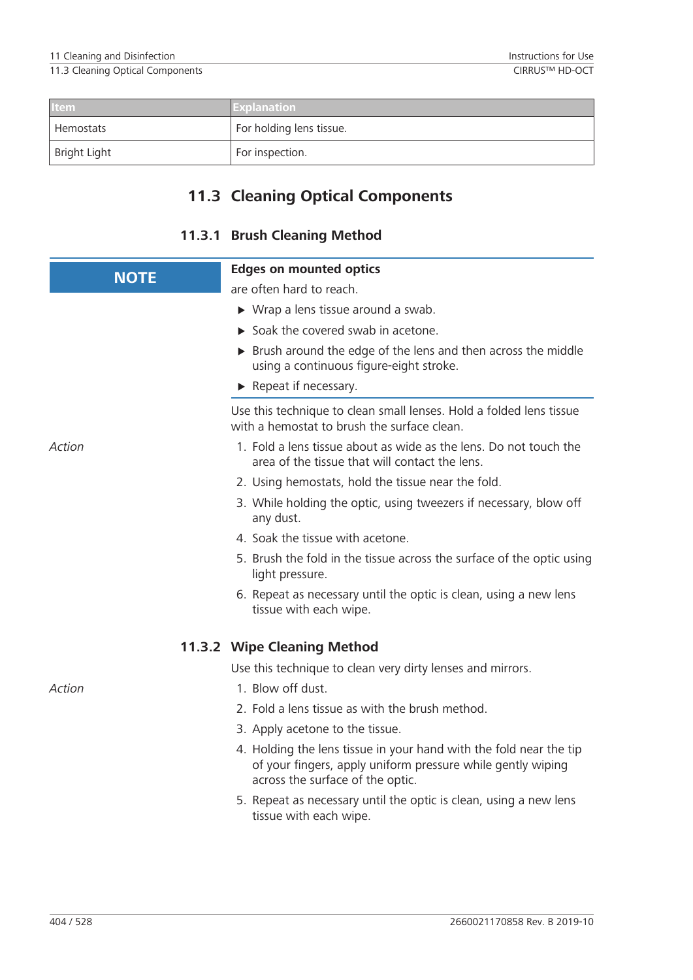| <b>Item</b>  | <b>Explanation</b>       |
|--------------|--------------------------|
| Hemostats    | For holding lens tissue. |
| Bright Light | For inspection.          |

## **11.3 Cleaning Optical Components**

## **11.3.1 Brush Cleaning Method**

| <b>NOTE</b> | <b>Edges on mounted optics</b>                                                                                                                                        |
|-------------|-----------------------------------------------------------------------------------------------------------------------------------------------------------------------|
|             | are often hard to reach.                                                                                                                                              |
|             | $\triangleright$ Wrap a lens tissue around a swab.                                                                                                                    |
|             | Soak the covered swab in acetone.                                                                                                                                     |
|             | > Brush around the edge of the lens and then across the middle<br>using a continuous figure-eight stroke.                                                             |
|             | $\blacktriangleright$ Repeat if necessary.                                                                                                                            |
|             | Use this technique to clean small lenses. Hold a folded lens tissue<br>with a hemostat to brush the surface clean.                                                    |
| Action      | 1. Fold a lens tissue about as wide as the lens. Do not touch the<br>area of the tissue that will contact the lens.                                                   |
|             | 2. Using hemostats, hold the tissue near the fold.                                                                                                                    |
|             | 3. While holding the optic, using tweezers if necessary, blow off<br>any dust.                                                                                        |
|             | 4. Soak the tissue with acetone.                                                                                                                                      |
|             | 5. Brush the fold in the tissue across the surface of the optic using<br>light pressure.                                                                              |
|             | 6. Repeat as necessary until the optic is clean, using a new lens<br>tissue with each wipe.                                                                           |
|             | 11.3.2 Wipe Cleaning Method                                                                                                                                           |
|             | Use this technique to clean very dirty lenses and mirrors.                                                                                                            |
| Action      | 1. Blow off dust.                                                                                                                                                     |
|             | 2. Fold a lens tissue as with the brush method.                                                                                                                       |
|             | 3. Apply acetone to the tissue.                                                                                                                                       |
|             | 4. Holding the lens tissue in your hand with the fold near the tip<br>of your fingers, apply uniform pressure while gently wiping<br>across the surface of the optic. |
|             | 5. Repeat as necessary until the optic is clean, using a new lens<br>tissue with each wipe.                                                                           |
|             |                                                                                                                                                                       |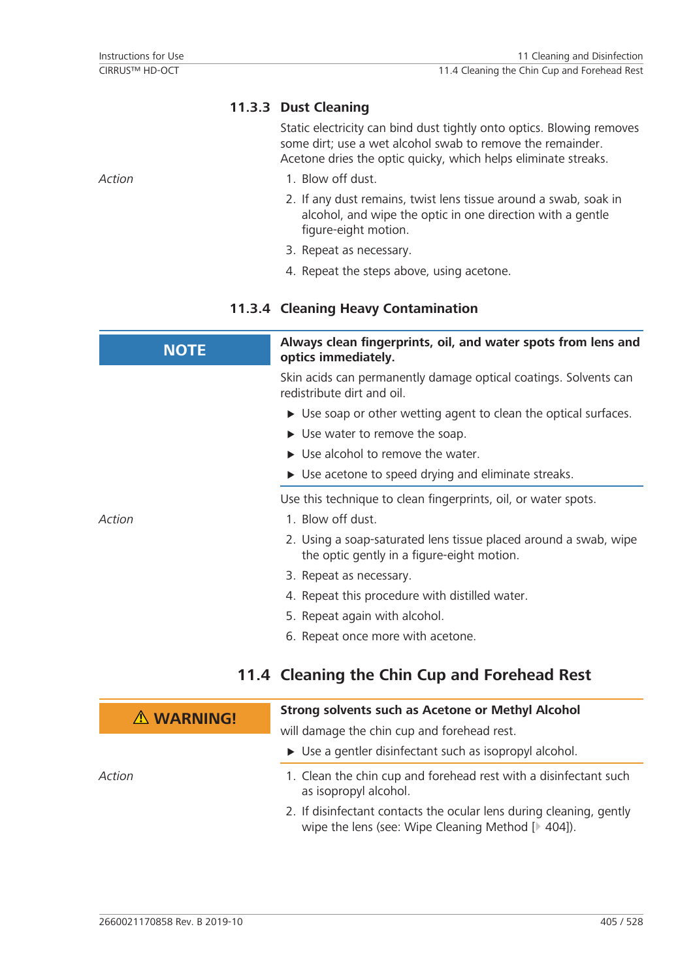### **11.3.3 Dust Cleaning**

Static electricity can bind dust tightly onto optics. Blowing removes some dirt; use a wet alcohol swab to remove the remainder. Acetone dries the optic quicky, which helps eliminate streaks.

- *Action* 1. Blow off dust.
	- 2. If any dust remains, twist lens tissue around a swab, soak in alcohol, and wipe the optic in one direction with a gentle figure-eight motion.
	- 3. Repeat as necessary.
	- 4. Repeat the steps above, using acetone.

### **11.3.4 Cleaning Heavy Contamination**

| <b>NOTE</b>        | Always clean fingerprints, oil, and water spots from lens and<br>optics immediately.                           |
|--------------------|----------------------------------------------------------------------------------------------------------------|
|                    | Skin acids can permanently damage optical coatings. Solvents can<br>redistribute dirt and oil.                 |
|                    | $\triangleright$ Use soap or other wetting agent to clean the optical surfaces.                                |
|                    | $\triangleright$ Use water to remove the soap.                                                                 |
|                    | $\triangleright$ Use alcohol to remove the water.                                                              |
|                    | $\triangleright$ Use acetone to speed drying and eliminate streaks.                                            |
|                    | Use this technique to clean fingerprints, oil, or water spots.                                                 |
| Action             | 1. Blow off dust.                                                                                              |
|                    | 2. Using a soap-saturated lens tissue placed around a swab, wipe<br>the optic gently in a figure-eight motion. |
|                    | 3. Repeat as necessary.                                                                                        |
|                    | 4. Repeat this procedure with distilled water.                                                                 |
|                    | 5. Repeat again with alcohol.                                                                                  |
|                    | 6. Repeat once more with acetone.                                                                              |
|                    | 11.4 Cleaning the Chin Cup and Forehead Rest                                                                   |
| $\Lambda$ WARNING! | <b>Strong solvents such as Acetone or Methyl Alcohol</b>                                                       |
|                    | will damage the chin cup and forehead rest.                                                                    |
|                    | $\triangleright$ Use a gentler disinfectant such as isopropyl alcohol.                                         |
| Action             | 1. Clean the chin cup and forehead rest with a disinfectant such<br>as isopropyl alcohol.                      |

2. If disinfectant contacts the ocular lens during cleaning, gently wipe the lens (see: Wipe Cleaning Method [ $\geq 404$ ]).